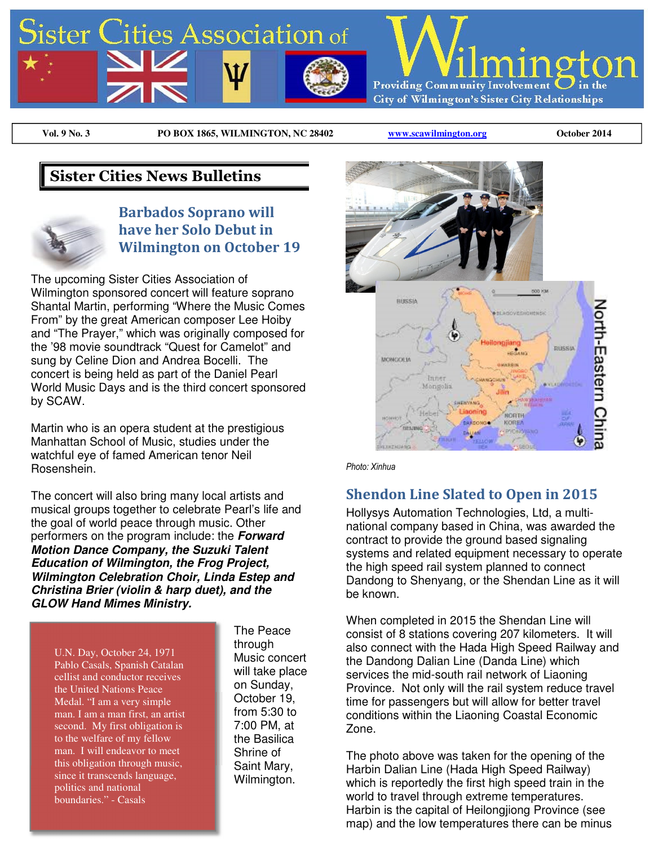

**Vol. 9 No. 3 PO BOX 1865, WILMINGTON, NC 28402 www.scawilmington.org October 2014** 

## **Sister Cities News Bulletins**



### **Barbados Soprano will have her Solo Debut in Wilmington on October 19**

The upcoming Sister Cities Association of Wilmington sponsored concert will feature soprano Shantal Martin, performing "Where the Music Comes From" by the great American composer Lee Hoiby and "The Prayer," which was originally composed for the '98 movie soundtrack "Quest for Camelot" and sung by Celine Dion and Andrea Bocelli. The concert is being held as part of the Daniel Pearl World Music Days and is the third concert sponsored by SCAW.

Martin who is an opera student at the prestigious Manhattan School of Music, studies under the watchful eye of famed American tenor Neil Rosenshein.

The concert will also bring many local artists and musical groups together to celebrate Pearl's life and the goal of world peace through music. Other performers on the program include: the *Forward Motion Dance Company, the Suzuki Talent Education of Wilmington, the Frog Project, Wilmington Celebration Choir, Linda Estep and Christina Brier (violin & harp duet), and the GLOW Hand Mimes Ministry.*

U.N. Day, October 24, 1971 Pablo Casals, Spanish Catalan cellist and conductor receives the United Nations Peace Medal. "I am a very simple man. I am a man first, an artist second. My first obligation is to the welfare of my fellow man. I will endeavor to meet this obligation through music, since it transcends language, politics and national boundaries." - Casals

The Peace through Music concert will take place on Sunday, October 19, from 5:30 to 7:00 PM, at the Basilica Shrine of Saint Mary, Wilmington.



*Photo: Xinhua* 

#### **Shendon Line Slated to Open in 2015**

Hollysys Automation Technologies, Ltd, a multinational company based in China, was awarded the contract to provide the ground based signaling systems and related equipment necessary to operate the high speed rail system planned to connect Dandong to Shenyang, or the Shendan Line as it will be known.

When completed in 2015 the Shendan Line will consist of 8 stations covering 207 kilometers. It will also connect with the Hada High Speed Railway and the Dandong Dalian Line (Danda Line) which services the mid-south rail network of Liaoning Province. Not only will the rail system reduce travel time for passengers but will allow for better travel conditions within the Liaoning Coastal Economic Zone.

The photo above was taken for the opening of the Harbin Dalian Line (Hada High Speed Railway) which is reportedly the first high speed train in the world to travel through extreme temperatures. Harbin is the capital of Heilongjiong Province (see map) and the low temperatures there can be minus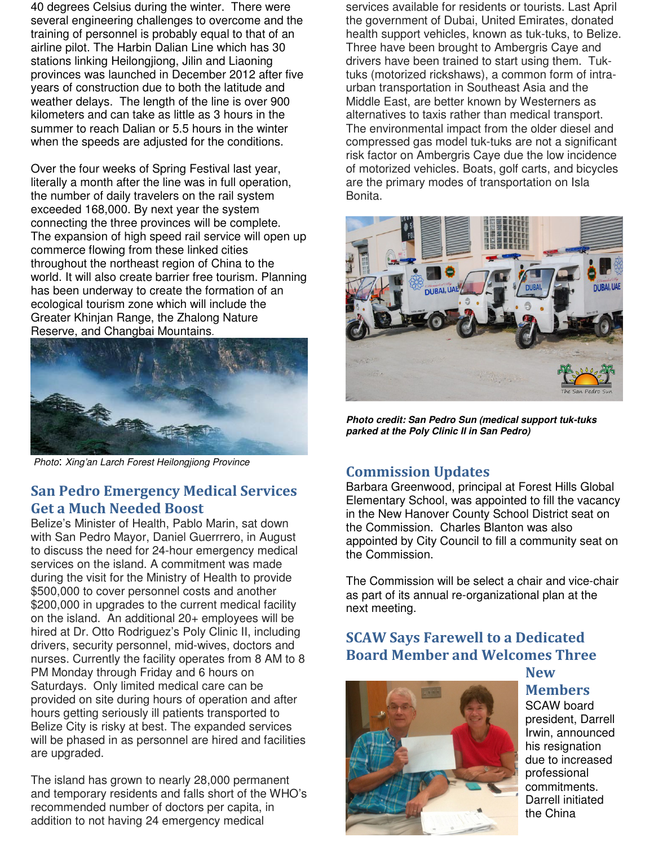40 degrees Celsius during the winter. There were several engineering challenges to overcome and the training of personnel is probably equal to that of an airline pilot. The Harbin Dalian Line which has 30 stations linking Heilongjiong, Jilin and Liaoning provinces was launched in December 2012 after five years of construction due to both the latitude and weather delays. The length of the line is over 900 kilometers and can take as little as 3 hours in the summer to reach Dalian or 5.5 hours in the winter when the speeds are adjusted for the conditions.

Over the four weeks of Spring Festival last year, literally a month after the line was in full operation, the number of daily travelers on the rail system exceeded 168,000. By next year the system connecting the three provinces will be complete. The expansion of high speed rail service will open up commerce flowing from these linked cities throughout the northeast region of China to the world. It will also create barrier free tourism. Planning has been underway to create the formation of an ecological tourism zone which will include the Greater Khinjan Range, the Zhalong Nature Reserve, and Changbai Mountains.



Photo: Xing'an Larch Forest Heilongjiong Province

#### **San Pedro Emergency Medical Services Get a Much Needed Boost**

Belize's Minister of Health, Pablo Marin, sat down with San Pedro Mayor, Daniel Guerrrero, in August to discuss the need for 24-hour emergency medical services on the island. A commitment was made during the visit for the Ministry of Health to provide \$500,000 to cover personnel costs and another \$200,000 in upgrades to the current medical facility on the island. An additional 20+ employees will be hired at Dr. Otto Rodriguez's Poly Clinic II, including drivers, security personnel, mid-wives, doctors and nurses. Currently the facility operates from 8 AM to 8 PM Monday through Friday and 6 hours on Saturdays. Only limited medical care can be provided on site during hours of operation and after hours getting seriously ill patients transported to Belize City is risky at best. The expanded services will be phased in as personnel are hired and facilities are upgraded.

The island has grown to nearly 28,000 permanent and temporary residents and falls short of the WHO's recommended number of doctors per capita, in addition to not having 24 emergency medical

services available for residents or tourists. Last April the government of Dubai, United Emirates, donated health support vehicles, known as tuk-tuks, to Belize. Three have been brought to Ambergris Caye and drivers have been trained to start using them. Tuktuks (motorized rickshaws), a common form of intraurban transportation in Southeast Asia and the Middle East, are better known by Westerners as alternatives to taxis rather than medical transport. The environmental impact from the older diesel and compressed gas model tuk-tuks are not a significant risk factor on Ambergris Caye due the low incidence of motorized vehicles. Boats, golf carts, and bicycles are the primary modes of transportation on Isla Bonita.



*Photo credit: San Pedro Sun (medical support tuk-tuks parked at the Poly Clinic II in San Pedro)*

## **Commission Updates**

Barbara Greenwood, principal at Forest Hills Global Elementary School, was appointed to fill the vacancy in the New Hanover County School District seat on the Commission. Charles Blanton was also appointed by City Council to fill a community seat on the Commission.

The Commission will be select a chair and vice-chair as part of its annual re-organizational plan at the next meeting.

## **SCAW Says Farewell to a Dedicated Board Member and Welcomes Three**

**New** 



**Members**  SCAW board president, Darrell Irwin, announced his resignation due to increased professional commitments. Darrell initiated the China